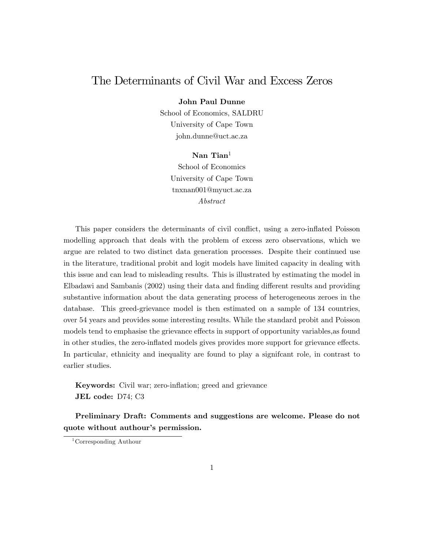## The Determinants of Civil War and Excess Zeros

John Paul Dunne

School of Economics, SALDRU University of Cape Town john.dunne@uct.ac.za

#### Nan Tian<sup>1</sup>

School of Economics University of Cape Town tnxnan001@myuct.ac.za Abstract

This paper considers the determinants of civil conflict, using a zero-inflated Poisson modelling approach that deals with the problem of excess zero observations, which we argue are related to two distinct data generation processes. Despite their continued use in the literature, traditional probit and logit models have limited capacity in dealing with this issue and can lead to misleading results. This is illustrated by estimating the model in Elbadawi and Sambanis (2002) using their data and finding different results and providing substantive information about the data generating process of heterogeneous zeroes in the database. This greed-grievance model is then estimated on a sample of 134 countries, over 54 years and provides some interesting results. While the standard probit and Poisson models tend to emphasise the grievance effects in support of opportunity variables, as found in other studies, the zero-inflated models gives provides more support for grievance effects. In particular, ethnicity and inequality are found to play a signifcant role, in contrast to earlier studies.

**Keywords:** Civil war; zero-inflation; greed and grievance JEL code: D74; C3

Preliminary Draft: Comments and suggestions are welcome. Please do not quote without authour's permission.

<sup>1</sup>Corresponding Authour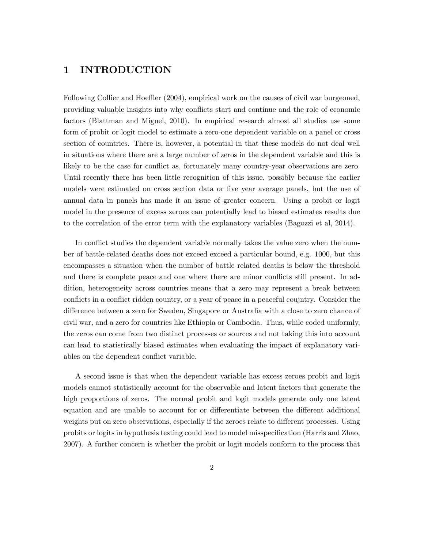### 1 INTRODUCTION

Following Collier and Hoeffler (2004), empirical work on the causes of civil war burgeoned, providing valuable insights into why conflicts start and continue and the role of economic factors (Blattman and Miguel, 2010). In empirical research almost all studies use some form of probit or logit model to estimate a zero-one dependent variable on a panel or cross section of countries. There is, however, a potential in that these models do not deal well in situations where there are a large number of zeros in the dependent variable and this is likely to be the case for conflict as, fortunately many country-year observations are zero. Until recently there has been little recognition of this issue, possibly because the earlier models were estimated on cross section data or five year average panels, but the use of annual data in panels has made it an issue of greater concern. Using a probit or logit model in the presence of excess zeroes can potentially lead to biased estimates results due to the correlation of the error term with the explanatory variables (Bagozzi et al, 2014).

In conflict studies the dependent variable normally takes the value zero when the number of battle-related deaths does not exceed exceed a particular bound, e.g. 1000, but this encompasses a situation when the number of battle related deaths is below the threshold and there is complete peace and one where there are minor conflicts still present. In addition, heterogeneity across countries means that a zero may represent a break between conflicts in a conflict ridden country, or a year of peace in a peaceful coujntry. Consider the difference between a zero for Sweden, Singapore or Australia with a close to zero chance of civil war, and a zero for countries like Ethiopia or Cambodia. Thus, while coded uniformly, the zeros can come from two distinct processes or sources and not taking this into account can lead to statistically biased estimates when evaluating the impact of explanatory variables on the dependent conflict variable.

A second issue is that when the dependent variable has excess zeroes probit and logit models cannot statistically account for the observable and latent factors that generate the high proportions of zeros. The normal probit and logit models generate only one latent equation and are unable to account for or differentiate between the different additional weights put on zero observations, especially if the zeroes relate to different processes. Using probits or logits in hypothesis testing could lead to model misspecification (Harris and Zhao, 2007). A further concern is whether the probit or logit models conform to the process that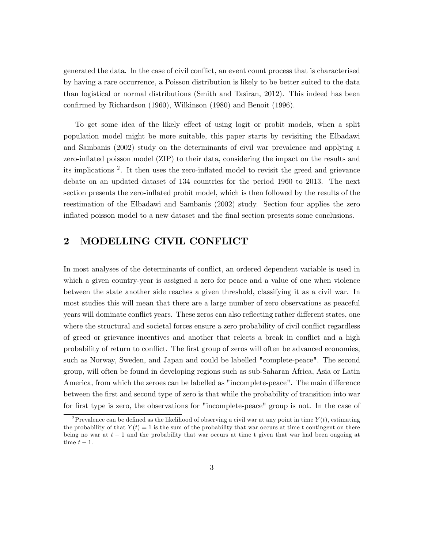generated the data. In the case of civil conflict, an event count process that is characterised by having a rare occurrence, a Poisson distribution is likely to be better suited to the data than logistical or normal distributions (Smith and Tasiran, 2012). This indeed has been confirmed by Richardson (1960), Wilkinson (1980) and Benoit (1996).

To get some idea of the likely effect of using logit or probit models, when a split population model might be more suitable, this paper starts by revisiting the Elbadawi and Sambanis (2002) study on the determinants of civil war prevalence and applying a zero-inflated poisson model (ZIP) to their data, considering the impact on the results and its implications<sup>2</sup>. It then uses the zero-inflated model to revisit the greed and grievance debate on an updated dataset of 134 countries for the period 1960 to 2013. The next section presents the zero-inflated probit model, which is then followed by the results of the reestimation of the Elbadawi and Sambanis (2002) study. Section four applies the zero inflated poisson model to a new dataset and the final section presents some conclusions.

### 2 MODELLING CIVIL CONFLICT

In most analyses of the determinants of conflict, an ordered dependent variable is used in which a given country-year is assigned a zero for peace and a value of one when violence between the state another side reaches a given threshold, classifying it as a civil war. In most studies this will mean that there are a large number of zero observations as peaceful years will dominate conflict years. These zeros can also reflecting rather different states, one where the structural and societal forces ensure a zero probability of civil conflict regardless of greed or grievance incentives and another that relects a break in conflict and a high probability of return to conflict. The first group of zeros will often be advanced economies, such as Norway, Sweden, and Japan and could be labelled "complete-peace". The second group, will often be found in developing regions such as sub-Saharan Africa, Asia or Latin America, from which the zeroes can be labelled as "incomplete-peace". The main difference between the first and second type of zero is that while the probability of transition into war for first type is zero, the observations for "incomplete-peace" group is not. In the case of

<sup>&</sup>lt;sup>2</sup>Prevalence can be defined as the likelihood of observing a civil war at any point in time  $Y(t)$ , estimating the probability of that  $Y(t) = 1$  is the sum of the probability that war occurs at time t contingent on there being no war at  $t-1$  and the probability that war occurs at time t given that war had been ongoing at time  $t - 1$ .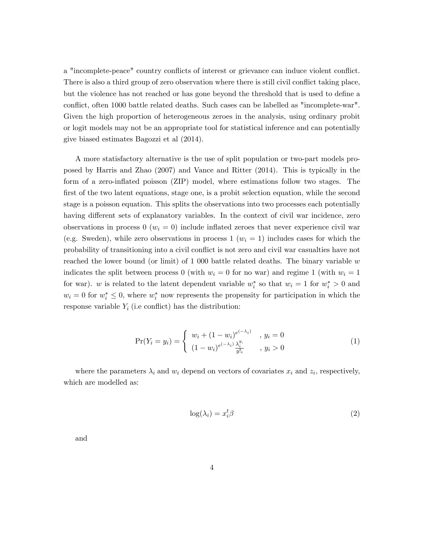a "incomplete-peace" country conflicts of interest or grievance can induce violent conflict. There is also a third group of zero observation where there is still civil conflict taking place, but the violence has not reached or has gone beyond the threshold that is used to define a conflict, often 1000 battle related deaths. Such cases can be labelled as "incomplete-war". Given the high proportion of heterogeneous zeroes in the analysis, using ordinary probit or logit models may not be an appropriate tool for statistical inference and can potentially give biased estimates Bagozzi et al (2014).

A more statisfactory alternative is the use of split population or two-part models proposed by Harris and Zhao (2007) and Vance and Ritter (2014). This is typically in the form of a zero-inflated poisson (ZIP) model, where estimations follow two stages. The first of the two latent equations, stage one, is a probit selection equation, while the second stage is a poisson equation. This splits the observations into two processes each potentially having different sets of explanatory variables. In the context of civil war incidence, zero observations in process  $0 \ (w_i = 0)$  include inflated zeroes that never experience civil war (e.g. Sweden), while zero observations in process  $1(w_i = 1)$  includes cases for which the probability of transitioning into a civil conflict is not zero and civil war casualties have not reached the lower bound (or limit) of 1 000 battle related deaths. The binary variable  $w$ indicates the split between process 0 (with  $w_i = 0$  for no war) and regime 1 (with  $w_i = 1$ ) for war). w is related to the latent dependent variable  $w_i^*$  so that  $w_i = 1$  for  $w_i^* > 0$  and  $w_i = 0$  for  $w_i^* \leq 0$ , where  $w_i^*$  now represents the propensity for participation in which the response variable  $Y_i$  (i.e conflict) has the distribution:

$$
\Pr(Y_i = y_i) = \begin{cases} w_i + (1 - w_i)^{e^{(-\lambda_i)}} & , y_i = 0\\ (1 - w_i)^{e^{(-\lambda_i)}} \frac{\lambda_i^y}{y!}, & , y_i > 0 \end{cases}
$$
(1)

where the parameters  $\lambda_i$  and  $w_i$  depend on vectors of covariates  $x_i$  and  $z_i$ , respectively, which are modelled as:

$$
\log(\lambda_i) = x_i^t \beta \tag{2}
$$

and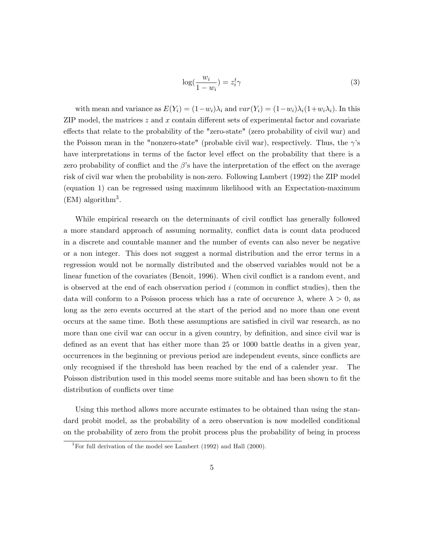$$
\log(\frac{w_i}{1 - w_i}) = z_i^t \gamma \tag{3}
$$

with mean and variance as  $E(Y_i) = (1-w_i)\lambda_i$  and  $var(Y_i) = (1-w_i)\lambda_i(1+w_i\lambda_i)$ . In this ZIP model, the matrices  $z$  and  $x$  contain different sets of experimental factor and covariate effects that relate to the probability of the "zero-state" (zero probability of civil war) and the Poisson mean in the "nonzero-state" (probable civil war), respectively. Thus, the  $\gamma$ 's have interpretations in terms of the factor level effect on the probability that there is a zero probability of conflict and the  $\beta$ 's have the interpretation of the effect on the average risk of civil war when the probability is non-zero. Following Lambert (1992) the ZIP model (equation 1) can be regressed using maximum likelihood with an Expectation-maximum  $(EM)$  algorithm<sup>3</sup>.

While empirical research on the determinants of civil conflict has generally followed a more standard approach of assuming normality, conflict data is count data produced in a discrete and countable manner and the number of events can also never be negative or a non integer. This does not suggest a normal distribution and the error terms in a regression would not be normally distributed and the observed variables would not be a linear function of the covariates (Benoit, 1996). When civil conflict is a random event, and is observed at the end of each observation period  $i$  (common in conflict studies), then the data will conform to a Poisson process which has a rate of occurence  $\lambda$ , where  $\lambda > 0$ , as long as the zero events occurred at the start of the period and no more than one event occurs at the same time. Both these assumptions are satisfied in civil war research, as no more than one civil war can occur in a given country, by definition, and since civil war is defined as an event that has either more than 25 or 1000 battle deaths in a given year, occurrences in the beginning or previous period are independent events, since conflicts are only recognised if the threshold has been reached by the end of a calender year. The Poisson distribution used in this model seems more suitable and has been shown to fit the distribution of conflicts over time

Using this method allows more accurate estimates to be obtained than using the standard probit model, as the probability of a zero observation is now modelled conditional on the probability of zero from the probit process plus the probability of being in process

 ${}^{3}$  For full derivation of the model see Lambert (1992) and Hall (2000).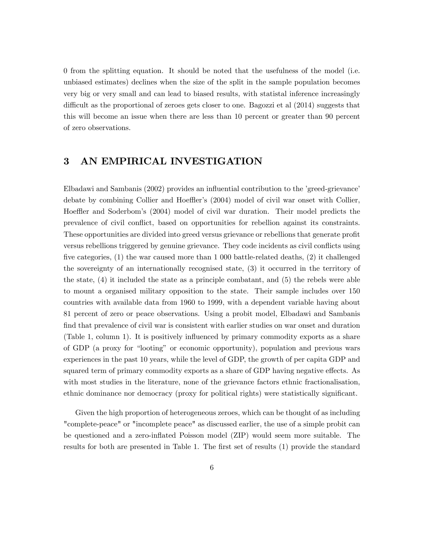0 from the splitting equation. It should be noted that the usefulness of the model (i.e. unbiased estimates) declines when the size of the split in the sample population becomes very big or very small and can lead to biased results, with statistal inference increasingly difficult as the proportional of zeroes gets closer to one. Bagozzi et al (2014) suggests that this will become an issue when there are less than 10 percent or greater than 90 percent of zero observations.

### 3 AN EMPIRICAL INVESTIGATION

Elbadawi and Sambanis (2002) provides an influential contribution to the 'greed-grievance' debate by combining Collier and Hoeffler's  $(2004)$  model of civil war onset with Collier, Hoeffler and Soderbom's (2004) model of civil war duration. Their model predicts the prevalence of civil conáict, based on opportunities for rebellion against its constraints. These opportunities are divided into greed versus grievance or rebellions that generate profit versus rebellions triggered by genuine grievance. They code incidents as civil conflicts using five categories,  $(1)$  the war caused more than 1 000 battle-related deaths,  $(2)$  it challenged the sovereignty of an internationally recognised state, (3) it occurred in the territory of the state, (4) it included the state as a principle combatant, and (5) the rebels were able to mount a organised military opposition to the state. Their sample includes over 150 countries with available data from 1960 to 1999, with a dependent variable having about 81 percent of zero or peace observations. Using a probit model, Elbadawi and Sambanis find that prevalence of civil war is consistent with earlier studies on war onset and duration (Table 1, column 1). It is positively ináuenced by primary commodity exports as a share of GDP (a proxy for "looting" or economic opportunity), population and previous wars experiences in the past 10 years, while the level of GDP, the growth of per capita GDP and squared term of primary commodity exports as a share of GDP having negative effects. As with most studies in the literature, none of the grievance factors ethnic fractionalisation, ethnic dominance nor democracy (proxy for political rights) were statistically significant.

Given the high proportion of heterogeneous zeroes, which can be thought of as including "complete-peace" or "incomplete peace" as discussed earlier, the use of a simple probit can be questioned and a zero-inflated Poisson model (ZIP) would seem more suitable. The results for both are presented in Table 1. The first set of results (1) provide the standard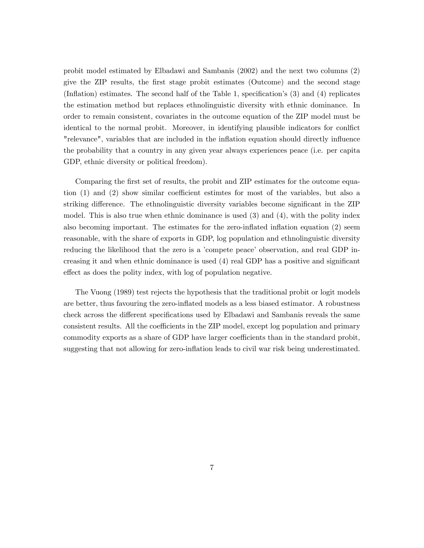probit model estimated by Elbadawi and Sambanis (2002) and the next two columns (2) give the ZIP results, the Örst stage probit estimates (Outcome) and the second stage (Inflation) estimates. The second half of the Table 1, specification's  $(3)$  and  $(4)$  replicates the estimation method but replaces ethnolinguistic diversity with ethnic dominance. In order to remain consistent, covariates in the outcome equation of the ZIP model must be identical to the normal probit. Moreover, in identifying plausible indicators for conflict "relevance", variables that are included in the inflation equation should directly influence the probability that a country in any given year always experiences peace (i.e. per capita GDP, ethnic diversity or political freedom).

Comparing the first set of results, the probit and ZIP estimates for the outcome equation  $(1)$  and  $(2)$  show similar coefficient estimtes for most of the variables, but also a striking difference. The ethnolinguistic diversity variables become significant in the ZIP model. This is also true when ethnic dominance is used (3) and (4), with the polity index also becoming important. The estimates for the zero-inflated inflation equation  $(2)$  seem reasonable, with the share of exports in GDP, log population and ethnolinguistic diversity reducing the likelihood that the zero is a 'compete peace' observation, and real GDP increasing it and when ethnic dominance is used  $(4)$  real GDP has a positive and significant effect as does the polity index, with log of population negative.

The Vuong (1989) test rejects the hypothesis that the traditional probit or logit models are better, thus favouring the zero-inflated models as a less biased estimator. A robustness check across the different specifications used by Elbadawi and Sambanis reveals the same consistent results. All the coefficients in the ZIP model, except log population and primary commodity exports as a share of GDP have larger coefficients than in the standard probit, suggesting that not allowing for zero-inflation leads to civil war risk being underestimated.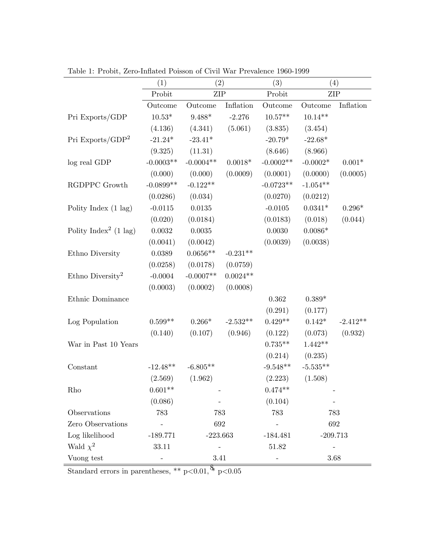|                                   | (1)               | (2)                      |            | (3)         | (4)                      |            |
|-----------------------------------|-------------------|--------------------------|------------|-------------|--------------------------|------------|
|                                   | Probit            | <b>ZIP</b>               |            | Probit      | <b>ZIP</b>               |            |
|                                   | Outcome           | Outcome                  | Inflation  | Outcome     | Outcome                  | Inflation  |
| Pri Exports/GDP                   | $10.53*$          | $9.488*$                 | $-2.276$   | $10.57**$   | $10.14**$                |            |
|                                   | (4.136)           | (4.341)                  | (5.061)    | (3.835)     | (3.454)                  |            |
| Pri Exports/GDP <sup>2</sup>      | $-21.24*$         | $-23.41*$                |            | $-20.79*$   | $-22.68*$                |            |
|                                   | (9.325)           | (11.31)                  |            | (8.646)     | (8.966)                  |            |
| log real GDP                      | $-0.0003**$       | $-0.0004**$              | $0.0018*$  | $-0.0002**$ | $-0.0002*$               | $0.001*$   |
|                                   | (0.000)           | (0.000)                  | (0.0009)   | (0.0001)    | (0.0000)                 | (0.0005)   |
| RGDPPC Growth                     | $-0.0899**$       | $-0.122**$               |            | $-0.0723**$ | $-1.054**$               |            |
|                                   | (0.0286)          | (0.034)                  |            | (0.0270)    | (0.0212)                 |            |
| Polity Index $(1 \text{ lag})$    | $-0.0115$         | $0.0135\,$               |            | $-0.0105$   | $0.0341*$                | $0.296*$   |
|                                   | (0.020)           | (0.0184)                 |            | (0.0183)    | (0.018)                  | (0.044)    |
| Polity Index <sup>2</sup> (1 lag) | 0.0032            | 0.0035                   |            | 0.0030      | $0.0086*$                |            |
|                                   | (0.0041)          | (0.0042)                 |            | (0.0039)    | (0.0038)                 |            |
| Ethno Diversity                   | 0.0389            | $0.0656**$               | $-0.231**$ |             |                          |            |
|                                   | (0.0258)          | (0.0178)                 | (0.0759)   |             |                          |            |
| Ethno Diversity <sup>2</sup>      | $-0.0004$         | $-0.0007**$              | $0.0024**$ |             |                          |            |
|                                   | (0.0003)          | (0.0002)                 | (0.0008)   |             |                          |            |
| Ethnic Dominance                  |                   |                          |            | 0.362       | $0.389*$                 |            |
|                                   |                   |                          |            | (0.291)     | (0.177)                  |            |
| Log Population                    | $0.599**$         | $0.266*$                 | $-2.532**$ | $0.429**$   | $0.142*$                 | $-2.412**$ |
|                                   | (0.140)           | (0.107)                  | (0.946)    | (0.122)     | (0.073)                  | (0.932)    |
| War in Past 10 Years              |                   |                          |            | $0.735**$   | $1.442**$                |            |
|                                   |                   |                          |            | (0.214)     | (0.235)                  |            |
| Constant                          | $-12.48**$        | $-6.805**$               |            | $-9.548**$  | $-5.535**$               |            |
|                                   | (2.569)           | (1.962)                  |            | (2.223)     | (1.508)                  |            |
| Rho                               | $0.601**$         |                          |            | $0.474**$   |                          |            |
|                                   | (0.086)           |                          |            | (0.104)     |                          |            |
| Observations                      | 783               | 783                      |            | 783         | 783                      |            |
| Zero Observations                 | $\qquad \qquad -$ | 692                      |            |             | 692                      |            |
| Log likelihood                    | $-189.771$        | $-223.663$               |            | $-184.481$  | $-209.713$               |            |
| Wald $\chi^2$                     | 33.11             | $\overline{\phantom{0}}$ |            | 51.82       | $\overline{\phantom{0}}$ |            |
| Vuong test                        |                   | 3.41                     |            |             | 3.68                     |            |

Table 1: Probit, Zero-Inflated Poisson of Civil War Prevalence 1960-1999

Standard errors in parentheses, \*\*  $p<0.01$ ,  $\frac{8}{3}$   $p<0.05$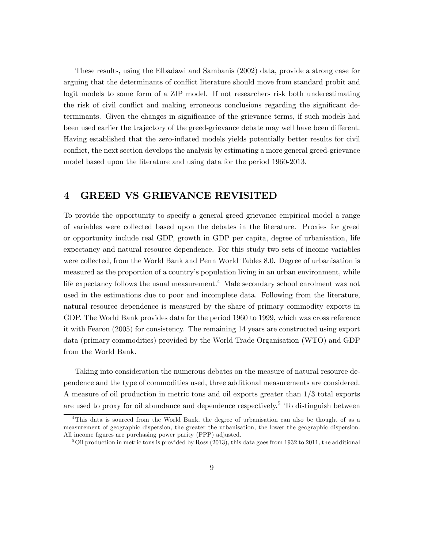These results, using the Elbadawi and Sambanis (2002) data, provide a strong case for arguing that the determinants of conflict literature should move from standard probit and logit models to some form of a ZIP model. If not researchers risk both underestimating the risk of civil conflict and making erroneous conclusions regarding the significant determinants. Given the changes in significance of the grievance terms, if such models had been used earlier the trajectory of the greed-grievance debate may well have been different. Having established that the zero-inflated models yields potentially better results for civil conflict, the next section develops the analysis by estimating a more general greed-grievance model based upon the literature and using data for the period 1960-2013.

#### 4 GREED VS GRIEVANCE REVISITED

To provide the opportunity to specify a general greed grievance empirical model a range of variables were collected based upon the debates in the literature. Proxies for greed or opportunity include real GDP, growth in GDP per capita, degree of urbanisation, life expectancy and natural resource dependence. For this study two sets of income variables were collected, from the World Bank and Penn World Tables 8.0. Degree of urbanisation is measured as the proportion of a country's population living in an urban environment, while life expectancy follows the usual measurement.<sup>4</sup> Male secondary school enrolment was not used in the estimations due to poor and incomplete data. Following from the literature, natural resource dependence is measured by the share of primary commodity exports in GDP. The World Bank provides data for the period 1960 to 1999, which was cross reference it with Fearon (2005) for consistency. The remaining 14 years are constructed using export data (primary commodities) provided by the World Trade Organisation (WTO) and GDP from the World Bank.

Taking into consideration the numerous debates on the measure of natural resource dependence and the type of commodities used, three additional measurements are considered. A measure of oil production in metric tons and oil exports greater than 1/3 total exports are used to proxy for oil abundance and dependence respectively.<sup>5</sup> To distinguish between

<sup>&</sup>lt;sup>4</sup>This data is sourced from the World Bank, the degree of urbanisation can also be thought of as a measurement of geographic dispersion, the greater the urbanisation, the lower the geographic dispersion. All income figures are purchasing power parity (PPP) adjusted.

 $5$ Oil production in metric tons is provided by Ross (2013), this data goes from 1932 to 2011, the additional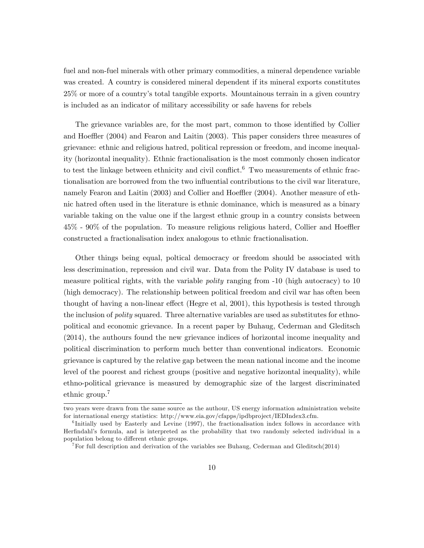fuel and non-fuel minerals with other primary commodities, a mineral dependence variable was created. A country is considered mineral dependent if its mineral exports constitutes 25% or more of a countryís total tangible exports. Mountainous terrain in a given country is included as an indicator of military accessibility or safe havens for rebels

The grievance variables are, for the most part, common to those identified by Collier and Hoeffler (2004) and Fearon and Laitin (2003). This paper considers three measures of grievance: ethnic and religious hatred, political repression or freedom, and income inequality (horizontal inequality). Ethnic fractionalisation is the most commonly chosen indicator to test the linkage between ethnicity and civil conflict.<sup>6</sup> Two measurements of ethnic fractionalisation are borrowed from the two influential contributions to the civil war literature, namely Fearon and Laitin  $(2003)$  and Collier and Hoeffler  $(2004)$ . Another measure of ethnic hatred often used in the literature is ethnic dominance, which is measured as a binary variable taking on the value one if the largest ethnic group in a country consists between  $45\%$  -  $90\%$  of the population. To measure religious religious haterd, Collier and Hoeffler constructed a fractionalisation index analogous to ethnic fractionalisation.

Other things being equal, poltical democracy or freedom should be associated with less descrimination, repression and civil war. Data from the Polity IV database is used to measure political rights, with the variable *polity* ranging from -10 (high autocracy) to 10 (high democracy). The relationship between political freedom and civil war has often been thought of having a non-linear effect (Hegre et al, 2001), this hypothesis is tested through the inclusion of *polity* squared. Three alternative variables are used as substitutes for ethnopolitical and economic grievance. In a recent paper by Buhaug, Cederman and Gleditsch (2014), the authours found the new grievance indices of horizontal income inequality and political discrimination to perform much better than conventional indicators. Economic grievance is captured by the relative gap between the mean national income and the income level of the poorest and richest groups (positive and negative horizontal inequality), while ethno-political grievance is measured by demographic size of the largest discriminated ethnic group.<sup>7</sup>

two years were drawn from the same source as the authour, US energy information administration website for international energy statistics: http://www.eia.gov/cfapps/ipdbproject/IEDIndex3.cfm.

<sup>&</sup>lt;sup>6</sup>Initially used by Easterly and Levine (1997), the fractionalisation index follows in accordance with Herfindahl's formula, and is interpreted as the probability that two randomly selected individual in a population belong to different ethnic groups.

<sup>7</sup>For full description and derivation of the variables see Buhaug, Cederman and Gleditsch(2014)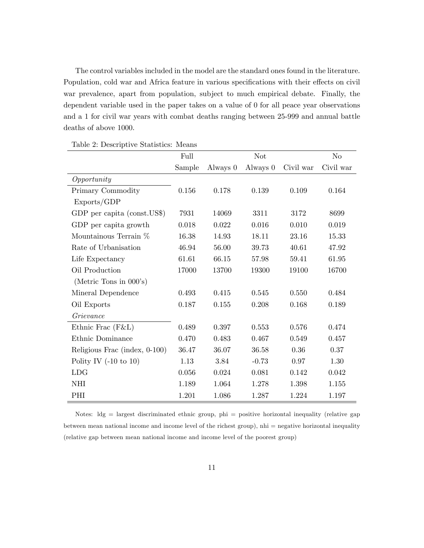The control variables included in the model are the standard ones found in the literature. Population, cold war and Africa feature in various specifications with their effects on civil war prevalence, apart from population, subject to much empirical debate. Finally, the dependent variable used in the paper takes on a value of 0 for all peace year observations and a 1 for civil war years with combat deaths ranging between 25-999 and annual battle deaths of above 1000.

|                                  | Full      |          | <b>Not</b> |           | No        |
|----------------------------------|-----------|----------|------------|-----------|-----------|
|                                  | Sample    | Always 0 | Always 0   | Civil war | Civil war |
| Opportunity                      |           |          |            |           |           |
| Primary Commodity                | 0.156     | 0.178    | 0.139      | 0.109     | 0.164     |
| Exports/GDP                      |           |          |            |           |           |
| GDP per capita (const.US\$)      | 7931      | 14069    | 3311       | 3172      | 8699      |
| GDP per capita growth            | 0.018     | 0.022    | 0.016      | 0.010     | 0.019     |
| Mountainous Terrain %            | 16.38     | 14.93    | 18.11      | 23.16     | 15.33     |
| Rate of Urbanisation             | 46.94     | 56.00    | 39.73      | 40.61     | 47.92     |
| Life Expectancy                  | 61.61     | 66.15    | 57.98      | 59.41     | 61.95     |
| Oil Production                   | 17000     | 13700    | 19300      | 19100     | 16700     |
| (Metric Tons in 000's)           |           |          |            |           |           |
| Mineral Dependence               | 0.493     | 0.415    | 0.545      | 0.550     | 0.484     |
| Oil Exports                      | 0.187     | 0.155    | 0.208      | 0.168     | 0.189     |
| Grievance                        |           |          |            |           |           |
| Ethnic Frac $(F&L)$              | 0.489     | 0.397    | 0.553      | 0.576     | 0.474     |
| Ethnic Dominance                 | 0.470     | 0.483    | 0.467      | 0.549     | 0.457     |
| Religious Frac (index, 0-100)    | 36.47     | 36.07    | 36.58      | $0.36\,$  | $0.37\,$  |
| Polity IV $(-10 \text{ to } 10)$ | 1.13      | 3.84     | $-0.73$    | 0.97      | $1.30\,$  |
| <b>LDG</b>                       | $0.056\,$ | 0.024    | 0.081      | 0.142     | 0.042     |
| NHI                              | 1.189     | 1.064    | 1.278      | 1.398     | 1.155     |
| PHI                              | 1.201     | 1.086    | 1.287      | 1.224     | 1.197     |

Table 2: Descriptive Statistics: Means

Notes: ldg = largest discriminated ethnic group, phi = positive horizontal inequality (relative gap between mean national income and income level of the richest group), nhi = negative horizontal inequality (relative gap between mean national income and income level of the poorest group)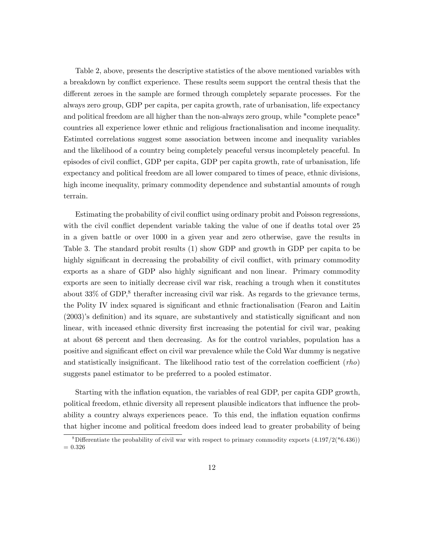Table 2, above, presents the descriptive statistics of the above mentioned variables with a breakdown by conflict experience. These results seem support the central thesis that the different zeroes in the sample are formed through completely separate processes. For the always zero group, GDP per capita, per capita growth, rate of urbanisation, life expectancy and political freedom are all higher than the non-always zero group, while "complete peace" countries all experience lower ethnic and religious fractionalisation and income inequality. Estimted correlations suggest some association between income and inequality variables and the likelihood of a country being completely peaceful versus incompletely peaceful. In episodes of civil conflict, GDP per capita, GDP per capita growth, rate of urbanisation, life expectancy and political freedom are all lower compared to times of peace, ethnic divisions, high income inequality, primary commodity dependence and substantial amounts of rough terrain.

Estimating the probability of civil conflict using ordinary probit and Poisson regressions, with the civil conflict dependent variable taking the value of one if deaths total over 25 in a given battle or over 1000 in a given year and zero otherwise, gave the results in Table 3. The standard probit results (1) show GDP and growth in GDP per capita to be highly significant in decreasing the probability of civil conflict, with primary commodity exports as a share of GDP also highly significant and non linear. Primary commodity exports are seen to initially decrease civil war risk, reaching a trough when it constitutes about  $33\%$  of GDP,<sup>8</sup> therafter increasing civil war risk. As regards to the grievance terms, the Polity IV index squared is significant and ethnic fractionalisation (Fearon and Laitin  $(2003)$ 's definition) and its square, are substantively and statistically significant and non linear, with inceased ethnic diversity first increasing the potential for civil war, peaking at about 68 percent and then decreasing. As for the control variables, population has a positive and significant effect on civil war prevalence while the Cold War dummy is negative and statistically insignificant. The likelihood ratio test of the correlation coefficient  $(rho)$ suggests panel estimator to be preferred to a pooled estimator.

Starting with the inflation equation, the variables of real GDP, per capita GDP growth, political freedom, ethnic diversity all represent plausible indicators that ináuence the probability a country always experiences peace. To this end, the inflation equation confirms that higher income and political freedom does indeed lead to greater probability of being

<sup>&</sup>lt;sup>8</sup>Differentiate the probability of civil war with respect to primary commodity exports  $(4.197/2(*6.436))$  $= 0.326$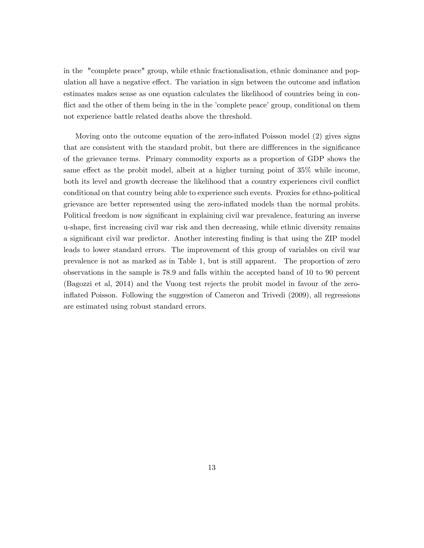in the "complete peace" group, while ethnic fractionalisation, ethnic dominance and population all have a negative effect. The variation in sign between the outcome and inflation estimates makes sense as one equation calculates the likelihood of countries being in conflict and the other of them being in the in the 'complete peace' group, conditional on them not experience battle related deaths above the threshold.

Moving onto the outcome equation of the zero-inflated Poisson model (2) gives signs that are consistent with the standard probit, but there are differences in the significance of the grievance terms. Primary commodity exports as a proportion of GDP shows the same effect as the probit model, albeit at a higher turning point of  $35\%$  while income, both its level and growth decrease the likelihood that a country experiences civil conflict conditional on that country being able to experience such events. Proxies for ethno-political grievance are better represented using the zero-inflated models than the normal probits. Political freedom is now significant in explaining civil war prevalence, featuring an inverse u-shape, first increasing civil war risk and then decreasing, while ethnic diversity remains a significant civil war predictor. Another interesting finding is that using the ZIP model leads to lower standard errors. The improvement of this group of variables on civil war prevalence is not as marked as in Table 1, but is still apparent. The proportion of zero observations in the sample is 78.9 and falls within the accepted band of 10 to 90 percent (Bagozzi et al, 2014) and the Vuong test rejects the probit model in favour of the zeroináated Poisson. Following the suggestion of Cameron and Trivedi (2009), all regressions are estimated using robust standard errors.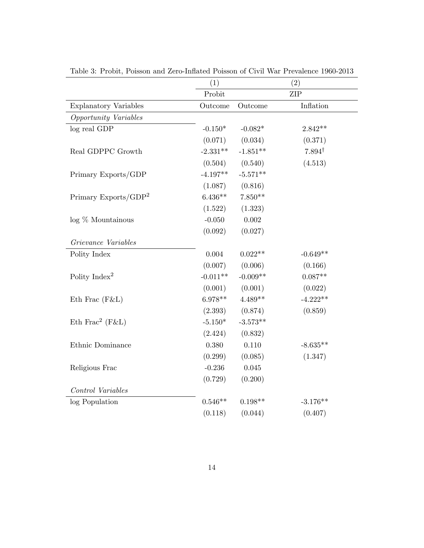|                              | $\left( 1\right)$ |            | (2)               |
|------------------------------|-------------------|------------|-------------------|
|                              | Probit            |            | <b>ZIP</b>        |
| <b>Explanatory Variables</b> | Outcome           | Outcome    | Inflation         |
| Opportunity Variables        |                   |            |                   |
| log real GDP                 | $-0.150*$         | $-0.082*$  | $2.842**$         |
|                              | (0.071)           | (0.034)    | (0.371)           |
| Real GDPPC Growth            | $-2.331**$        | $-1.851**$ | $7.894^{\dagger}$ |
|                              | (0.504)           | (0.540)    | (4.513)           |
| Primary Exports/GDP          | $-4.197**$        | $-5.571**$ |                   |
|                              | (1.087)           | (0.816)    |                   |
| Primary Exports/ $GDP2$      | $6.436**$         | $7.850**$  |                   |
|                              | (1.522)           | (1.323)    |                   |
| $log\%$ Mountainous          | $-0.050$          | 0.002      |                   |
|                              | (0.092)           | (0.027)    |                   |
| Grievance Variables          |                   |            |                   |
| Polity Index                 | 0.004             | $0.022**$  | $-0.649**$        |
|                              | (0.007)           | (0.006)    | (0.166)           |
| Polity Index <sup>2</sup>    | $-0.011**$        | $-0.009**$ | $0.087**$         |
|                              | (0.001)           | (0.001)    | (0.022)           |
| Eth Frac (F&L)               | $6.978**$         | $4.489**$  | $-4.222**$        |
|                              | (2.393)           | (0.874)    | (0.859)           |
| Eth Frac <sup>2</sup> (F&L)  | $-5.150*$         | $-3.573**$ |                   |
|                              | (2.424)           | (0.832)    |                   |
| Ethnic Dominance             | 0.380             | 0.110      | $-8.635**$        |
|                              | (0.299)           | (0.085)    | (1.347)           |
| Religious Frac               | $-0.236$          | 0.045      |                   |
|                              | (0.729)           | (0.200)    |                   |
| Control Variables            |                   |            |                   |
| log Population               | $0.546**$         | $0.198**$  | $-3.176**$        |
|                              | (0.118)           | (0.044)    | (0.407)           |
|                              |                   |            |                   |

Table 3: Probit, Poisson and Zero-Inflated Poisson of Civil War Prevalence 1960-2013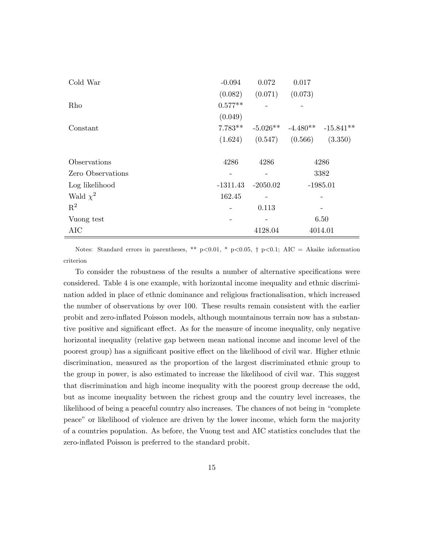| Cold War          | $-0.094$   | 0.072      | 0.017                 |             |
|-------------------|------------|------------|-----------------------|-------------|
|                   | (0.082)    | (0.071)    | (0.073)               |             |
| Rho               | $0.577**$  |            |                       |             |
|                   | (0.049)    |            |                       |             |
| Constant          | $7.783**$  |            | $-5.026**$ $-4.480**$ | $-15.841**$ |
|                   | (1.624)    | (0.547)    | (0.566)               | (3.350)     |
|                   |            |            |                       |             |
| Observations      | 4286       | 4286       | 4286                  |             |
| Zero Observations |            |            |                       | 3382        |
| Log likelihood    | $-1311.43$ | $-2050.02$ |                       | $-1985.01$  |
| Wald $\chi^2$     | 162.45     |            |                       |             |
| $\mathbf{R}^2$    |            | 0.113      |                       |             |
| Vuong test        |            |            |                       | 6.50        |
| AIC               |            | 4128.04    |                       | 4014.01     |

Notes: Standard errors in parentheses, \*\* p<0.01, \* p<0.05,  $\dagger$  p<0.1; AIC = Akaike information criterion

To consider the robustness of the results a number of alternative specifications were considered. Table 4 is one example, with horizontal income inequality and ethnic discrimination added in place of ethnic dominance and religious fractionalisation, which increased the number of observations by over 100. These results remain consistent with the earlier probit and zero-ináated Poisson models, although mountainous terrain now has a substantive positive and significant effect. As for the measure of income inequality, only negative horizontal inequality (relative gap between mean national income and income level of the poorest group) has a significant positive effect on the likelihood of civil war. Higher ethnic discrimination, measured as the proportion of the largest discriminated ethnic group to the group in power, is also estimated to increase the likelihood of civil war. This suggest that discrimination and high income inequality with the poorest group decrease the odd, but as income inequality between the richest group and the country level increases, the likelihood of being a peaceful country also increases. The chances of not being in "complete" peaceî or likelihood of violence are driven by the lower income, which form the majority of a countries population. As before, the Vuong test and AIC statistics concludes that the zero-inflated Poisson is preferred to the standard probit.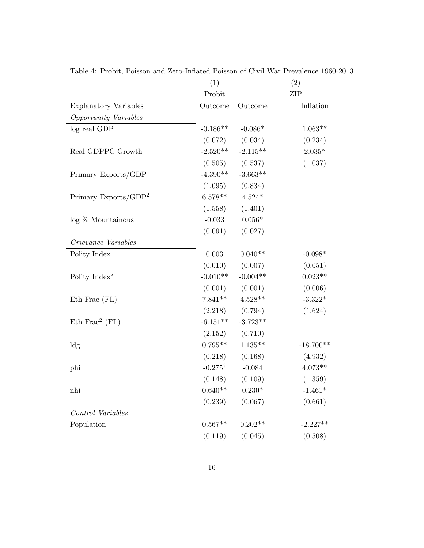|                              | (1)                |                | (2)            |
|------------------------------|--------------------|----------------|----------------|
|                              | Probit             |                | <b>ZIP</b>     |
| <b>Explanatory Variables</b> | Outcome            | Outcome        | Inflation      |
| Opportunity Variables        |                    |                |                |
| $log$ real ${\rm GDP}$       | $-0.186**$         | $-0.086*$      | $1.063**$      |
|                              | (0.072)            | (0.034)        | (0.234)        |
| Real GDPPC Growth            | $-2.520**$         | $-2.115**$     | $2.035^{\ast}$ |
|                              | (0.505)            | (0.537)        | (1.037)        |
| Primary Exports/GDP          | $-4.390**$         | $-3.663**$     |                |
|                              | (1.095)            | (0.834)        |                |
| Primary Exports/ $GDP2$      | $6.578**$          | $4.524*$       |                |
|                              | (1.558)            | (1.401)        |                |
| $log\%$ Mountainous          | $-0.033$           | $0.056^{\ast}$ |                |
|                              | (0.091)            | (0.027)        |                |
| Grievance Variables          |                    |                |                |
| Polity Index                 | $0.003\,$          | $0.040**$      | $-0.098*$      |
|                              | (0.010)            | (0.007)        | (0.051)        |
| Polity Index <sup>2</sup>    | $-0.010**$         | $-0.004**$     | $0.023**$      |
|                              | (0.001)            | (0.001)        | (0.006)        |
| Eth Frac (FL)                | $7.841**$          | $4.528**$      | $-3.322*$      |
|                              | (2.218)            | (0.794)        | (1.624)        |
| Eth Frac <sup>2</sup> (FL)   | $-6.151**$         | $-3.723**$     |                |
|                              | (2.152)            | (0.710)        |                |
| $\log$                       | $0.795**$          | $1.135**$      | $-18.700**$    |
|                              | (0.218)            | (0.168)        | (4.932)        |
| phi                          | $-0.275^{\dagger}$ | $-0.084$       | $4.073**$      |
|                              | (0.148)            | (0.109)        | (1.359)        |
| nhi                          | $0.640**$          | $0.230^{\ast}$ | $-1.461*$      |
|                              | (0.239)            | (0.067)        | (0.661)        |
| Control Variables            |                    |                |                |
| Population                   | $0.567**$          | $0.202**$      | $-2.227**$     |
|                              | (0.119)            | (0.045)        | (0.508)        |

Table 4: Probit, Poisson and Zero-Inflated Poisson of Civil War Prevalence 1960-2013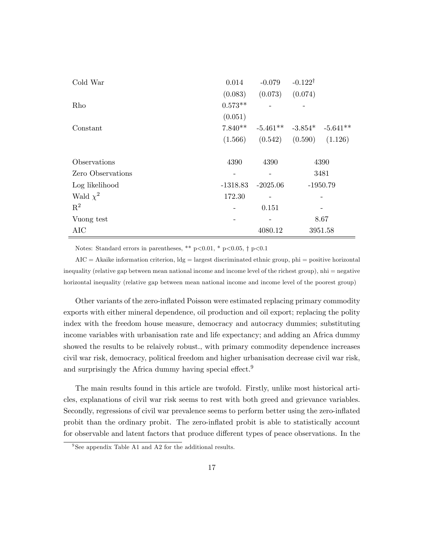| Cold War          | 0.014      | $-0.079$   | $-0.122^{\dagger}$              |
|-------------------|------------|------------|---------------------------------|
|                   | (0.083)    | (0.073)    | (0.074)                         |
| Rho               | $0.573**$  |            |                                 |
|                   | (0.051)    |            |                                 |
| Constant          | $7.840**$  |            | $-5.461**$ $-3.854*$ $-5.641**$ |
|                   | (1.566)    |            | $(0.542)$ $(0.590)$<br>(1.126)  |
|                   |            |            |                                 |
| Observations      | 4390       | 4390       | 4390                            |
| Zero Observations |            |            | 3481                            |
| Log likelihood    | $-1318.83$ | $-2025.06$ | $-1950.79$                      |
| Wald $\chi^2$     | 172.30     |            |                                 |
| $\mathbf{R}^2$    | -          | 0.151      |                                 |
| Vuong test        |            |            | 8.67                            |
| AIC               |            | 4080.12    | 3951.58                         |

Notes: Standard errors in parentheses, \*\*  $p<0.01$ , \*  $p<0.05$ , †  $p<0.1$ 

 $AIC = Akaike information criterion,  $lg = \text{largest discriminated ethnic group}, \text{phi} = \text{positive horizontal}$$ inequality (relative gap between mean national income and income level of the richest group), nhi = negative horizontal inequality (relative gap between mean national income and income level of the poorest group)

Other variants of the zero-inflated Poisson were estimated replacing primary commodity exports with either mineral dependence, oil production and oil export; replacing the polity index with the freedom house measure, democracy and autocracy dummies; substituting income variables with urbanisation rate and life expectancy; and adding an Africa dummy showed the results to be relaively robust., with primary commodity dependence increases civil war risk, democracy, political freedom and higher urbanisation decrease civil war risk, and surprisingly the Africa dummy having special effect.<sup>9</sup>

The main results found in this article are twofold. Firstly, unlike most historical articles, explanations of civil war risk seems to rest with both greed and grievance variables. Secondly, regressions of civil war prevalence seems to perform better using the zero-inflated probit than the ordinary probit. The zero-inflated probit is able to statistically account for observable and latent factors that produce different types of peace observations. In the

<sup>&</sup>lt;sup>9</sup>See appendix Table A1 and A2 for the additional results.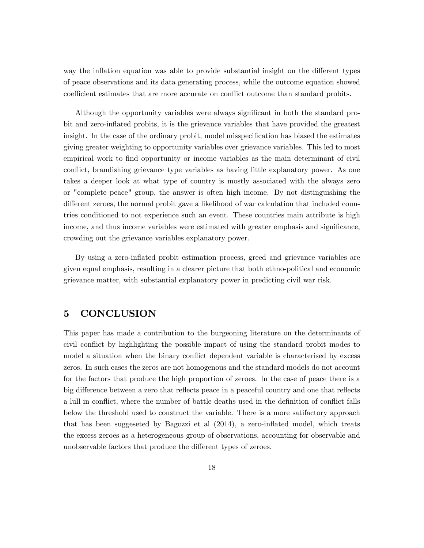way the inflation equation was able to provide substantial insight on the different types of peace observations and its data generating process, while the outcome equation showed coefficient estimates that are more accurate on conflict outcome than standard probits.

Although the opportunity variables were always significant in both the standard probit and zero-inflated probits, it is the grievance variables that have provided the greatest insight. In the case of the ordinary probit, model misspecification has biased the estimates giving greater weighting to opportunity variables over grievance variables. This led to most empirical work to find opportunity or income variables as the main determinant of civil conflict, brandishing grievance type variables as having little explanatory power. As one takes a deeper look at what type of country is mostly associated with the always zero or "complete peace" group, the answer is often high income. By not distinguishing the different zeroes, the normal probit gave a likelihood of war calculation that included countries conditioned to not experience such an event. These countries main attribute is high income, and thus income variables were estimated with greater emphasis and significance, crowding out the grievance variables explanatory power.

By using a zero-inflated probit estimation process, greed and grievance variables are given equal emphasis, resulting in a clearer picture that both ethno-political and economic grievance matter, with substantial explanatory power in predicting civil war risk.

#### 5 CONCLUSION

This paper has made a contribution to the burgeoning literature on the determinants of civil conflict by highlighting the possible impact of using the standard probit modes to model a situation when the binary conflict dependent variable is characterised by excess zeros. In such cases the zeros are not homogenous and the standard models do not account for the factors that produce the high proportion of zeroes. In the case of peace there is a big difference between a zero that reflects peace in a peaceful country and one that reflects a lull in conflict, where the number of battle deaths used in the definition of conflict falls below the threshold used to construct the variable. There is a more satifactory approach that has been suggeseted by Bagozzi et al  $(2014)$ , a zero-inflated model, which treats the excess zeroes as a heterogeneous group of observations, accounting for observable and unobservable factors that produce the different types of zeroes.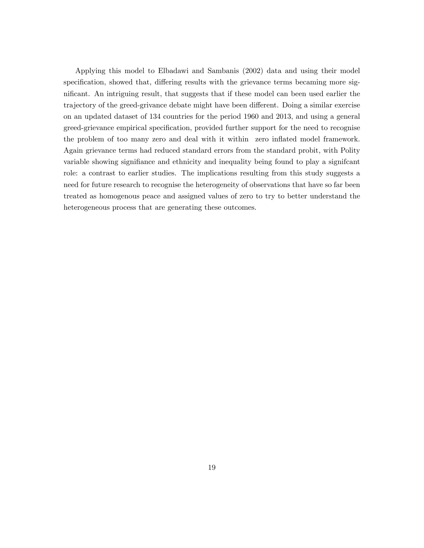Applying this model to Elbadawi and Sambanis (2002) data and using their model specification, showed that, differing results with the grievance terms becaming more significant. An intriguing result, that suggests that if these model can been used earlier the trajectory of the greed-grivance debate might have been different. Doing a similar exercise on an updated dataset of 134 countries for the period 1960 and 2013, and using a general greed-grievance empirical specification, provided further support for the need to recognise the problem of too many zero and deal with it within zero ináated model framework. Again grievance terms had reduced standard errors from the standard probit, with Polity variable showing signifiance and ethnicity and inequality being found to play a significant role: a contrast to earlier studies. The implications resulting from this study suggests a need for future research to recognise the heterogeneity of observations that have so far been treated as homogenous peace and assigned values of zero to try to better understand the heterogeneous process that are generating these outcomes.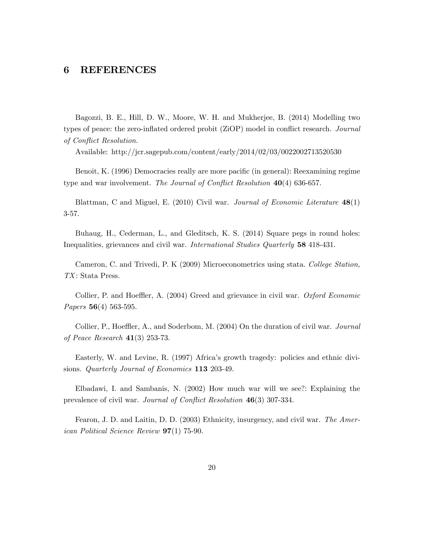#### 6 REFERENCES

Bagozzi, B. E., Hill, D. W., Moore, W. H. and Mukherjee, B. (2014) Modelling two types of peace: the zero-inflated ordered probit (ZiOP) model in conflict research. Journal of Conflict Resolution.

Available: http://jcr.sagepub.com/content/early/2014/02/03/0022002713520530

Benoit, K. (1996) Democracies really are more pacific (in general): Reexamining regime type and war involvement. The Journal of Conflict Resolution  $40(4)$  636-657.

Blattman, C and Miguel, E. (2010) Civil war. Journal of Economic Literature  $48(1)$ 3-57.

Buhaug, H., Cederman, L., and Gleditsch, K. S. (2014) Square pegs in round holes: Inequalities, grievances and civil war. International Studies Quarterly 58 418-431.

Cameron, C. and Trivedi, P. K (2009) Microeconometrics using stata. College Station, TX: Stata Press.

Collier, P. and Hoeffler, A. (2004) Greed and grievance in civil war. *Oxford Economic* Papers 56(4) 563-595.

Collier, P., Hoeffler, A., and Soderbom, M. (2004) On the duration of civil war. *Journal* of Peace Research 41(3) 253-73.

Easterly, W. and Levine, R. (1997) Africaís growth tragedy: policies and ethnic divisions. Quarterly Journal of Economics 113 203-49.

Elbadawi, I. and Sambanis, N. (2002) How much war will we see?: Explaining the prevalence of civil war. Journal of Conflict Resolution 46(3) 307-334.

Fearon, J. D. and Laitin, D. D. (2003) Ethnicity, insurgency, and civil war. The American Political Science Review 97(1) 75-90.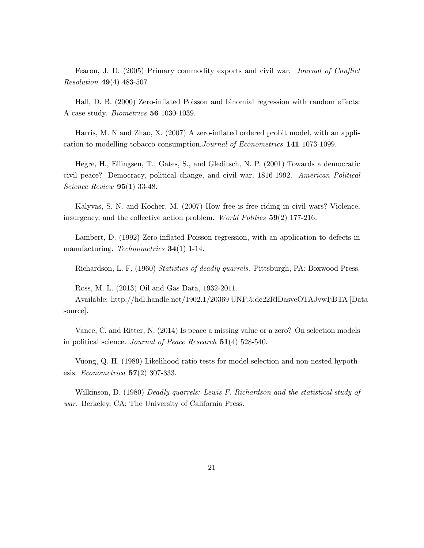Fearon, J. D. (2005) Primary commodity exports and civil war. *Journal of Conflict* Resolution 49(4) 483-507.

Hall, D. B. (2000) Zero-inflated Poisson and binomial regression with random effects: A case study. Biometrics 56 1030-1039.

Harris, M. N and Zhao, X. (2007) A zero-inflated ordered probit model, with an application to modelling tobacco consumption.Journal of Econometrics 141 1073-1099.

Hegre, H., Ellingsen, T., Gates, S., and Gleditsch, N. P. (2001) Towards a democratic civil peace? Democracy, political change, and civil war, 1816-1992. American Political Science Review 95(1) 33-48.

Kalyvas, S. N. and Kocher, M. (2007) How free is free riding in civil wars? Violence, insurgency, and the collective action problem. World Politics  $59(2)$  177-216.

Lambert, D. (1992) Zero-inflated Poisson regression, with an application to defects in manufacturing. Technometrics **34**(1) 1-14.

Richardson, L. F. (1960) Statistics of deadly quarrels. Pittsburgh, PA: Boxwood Press.

Ross, M. L. (2013) Oil and Gas Data, 1932-2011.

Available: http://hdl.handle.net/1902.1/20369 UNF:5:dc22RlDasveOTAJvwIjBTA [Data source].

Vance, C. and Ritter, N. (2014) Is peace a missing value or a zero? On selection models in political science. Journal of Peace Research  $51(4)$  528-540.

Vuong, Q. H. (1989) Likelihood ratio tests for model selection and non-nested hypothesis. Econometrica  $57(2)$  307-333.

Wilkinson, D. (1980) Deadly quarrels: Lewis F. Richardson and the statistical study of war. Berkeley, CA: The University of California Press.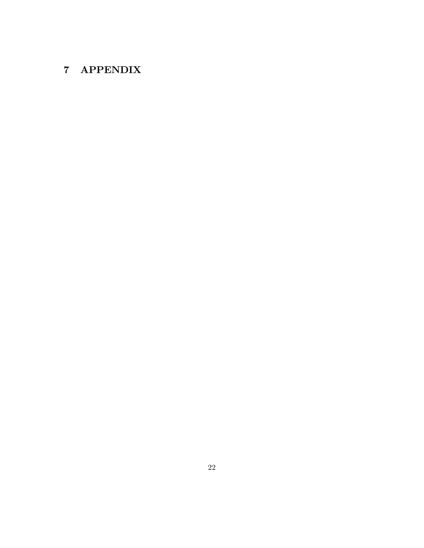# 7 APPENDIX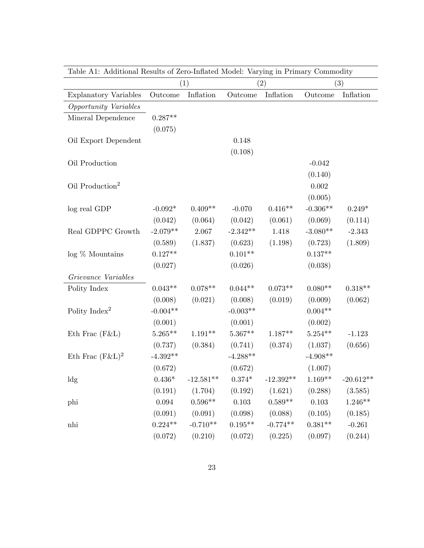|                              | (1)         |             |            | (2)         | (3)        |             |  |
|------------------------------|-------------|-------------|------------|-------------|------------|-------------|--|
| <b>Explanatory Variables</b> | Outcome     | Inflation   | Outcome    | Inflation   | Outcome    | Inflation   |  |
| Opportunity Variables        |             |             |            |             |            |             |  |
| Mineral Dependence           | $0.287**$   |             |            |             |            |             |  |
|                              | (0.075)     |             |            |             |            |             |  |
| Oil Export Dependent         |             |             | 0.148      |             |            |             |  |
|                              |             |             | (0.108)    |             |            |             |  |
| Oil Production               |             |             |            |             | $-0.042$   |             |  |
|                              |             |             |            |             | (0.140)    |             |  |
| Oil Production <sup>2</sup>  |             |             |            |             | 0.002      |             |  |
|                              |             |             |            |             | (0.005)    |             |  |
| log real GDP                 | $-0.092*$   | $0.409**$   | $-0.070$   | $0.416**$   | $-0.306**$ | $0.249*$    |  |
|                              | (0.042)     | (0.064)     | (0.042)    | (0.061)     | (0.069)    | (0.114)     |  |
| Real GDPPC Growth            | $-2.079**$  | 2.067       | $-2.342**$ | 1.418       | $-3.080**$ | $-2.343$    |  |
|                              | (0.589)     | (1.837)     | (0.623)    | (1.198)     | (0.723)    | (1.809)     |  |
| $log\%$ Mountains            | $0.127**$   |             | $0.101**$  |             | $0.137**$  |             |  |
|                              | (0.027)     |             | (0.026)    |             | (0.038)    |             |  |
| Grievance Variables          |             |             |            |             |            |             |  |
| Polity Index                 | $0.043**$   | $0.078**$   | $0.044**$  | $0.073**$   | $0.080**$  | $0.318**$   |  |
|                              | (0.008)     | (0.021)     | (0.008)    | (0.019)     | (0.009)    | (0.062)     |  |
| Polity Index <sup>2</sup>    | $-0.004**$  |             | $-0.003**$ |             | $0.004**$  |             |  |
|                              | (0.001)     |             | (0.001)    |             | (0.002)    |             |  |
| Eth Frac $(F&L)$             | $5.265***$  | $1.191**$   | $5.367**$  | $1.187**$   | $5.254***$ | $-1.123$    |  |
|                              | (0.737)     | (0.384)     | (0.741)    | (0.374)     | (1.037)    | (0.656)     |  |
| Eth Frac $(F&L)^2$           | $-4.392**$  |             | $-4.288**$ |             | $-4.908**$ |             |  |
|                              | (0.672)     |             | (0.672)    |             | (1.007)    |             |  |
| $\operatorname{ldg}$         | $0.436*$    | $-12.581**$ | $0.374*$   | $-12.392**$ | $1.169**$  | $-20.612**$ |  |
|                              | (0.191)     | (1.704)     | (0.192)    | (1.621)     | (0.288)    | (3.585)     |  |
| phi                          | $\,0.094\,$ | $0.596**$   | $0.103\,$  | $0.589**$   | $0.103\,$  | $1.246**$   |  |
|                              | (0.091)     | (0.091)     | (0.098)    | (0.088)     | (0.105)    | (0.185)     |  |
| nhi                          | $0.224**$   | $-0.710**$  | $0.195**$  | $-0.774**$  | $0.381**$  | $-0.261$    |  |
|                              | (0.072)     | (0.210)     | (0.072)    | (0.225)     | (0.097)    | (0.244)     |  |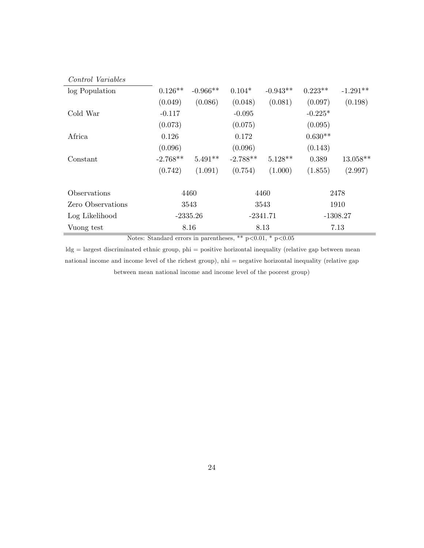| <i>Control Variables</i> |            |            |            |            |            |            |
|--------------------------|------------|------------|------------|------------|------------|------------|
| log Population           | $0.126**$  | $-0.966**$ | $0.104*$   | $-0.943**$ | $0.223**$  | $-1.291**$ |
|                          | (0.049)    | (0.086)    | (0.048)    | (0.081)    | (0.097)    | (0.198)    |
| Cold War                 | $-0.117$   |            | $-0.095$   |            | $-0.225*$  |            |
|                          | (0.073)    |            | (0.075)    |            | (0.095)    |            |
| Africa                   | 0.126      |            | 0.172      |            | $0.630**$  |            |
|                          | (0.096)    |            | (0.096)    |            | (0.143)    |            |
| Constant                 | $-2.768**$ | $5.491**$  | $-2.788**$ | $5.128**$  | 0.389      | $13.058**$ |
|                          | (0.742)    | (1.091)    | (0.754)    | (1.000)    | (1.855)    | (2.997)    |
| Observations             | 4460       |            | 4460       |            | 2478       |            |
| Zero Observations        | 3543       |            | 3543       |            | 1910       |            |
| Log Likelihood           | $-2335.26$ |            | $-2341.71$ |            | $-1308.27$ |            |
| Vuong test               |            | 8.16       | 8.13       |            | 7.13       |            |

Notes: Standard errors in parentheses, \*\* p<0.01, \* p<0.05

ldg = largest discriminated ethnic group, phi = positive horizontal inequality (relative gap between mean national income and income level of the richest group), nhi = negative horizontal inequality (relative gap between mean national income and income level of the poorest group)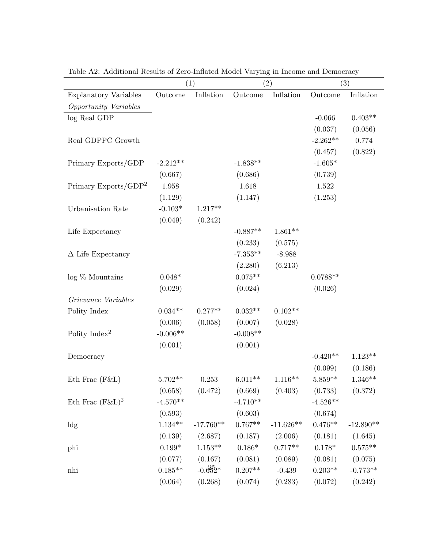|                              |            | (1)         |                    | (2)         | (3)        |             |
|------------------------------|------------|-------------|--------------------|-------------|------------|-------------|
| <b>Explanatory Variables</b> | Outcome    | Inflation   | Outcome            | Inflation   | Outcome    | Inflation   |
| Opportunity Variables        |            |             |                    |             |            |             |
| log Real GDP                 |            |             |                    |             | $-0.066$   | $0.403**$   |
|                              |            |             |                    |             | (0.037)    | (0.056)     |
| Real GDPPC Growth            |            |             |                    |             | $-2.262**$ | 0.774       |
|                              |            |             |                    |             | (0.457)    | (0.822)     |
| Primary Exports/GDP          | $-2.212**$ |             | $-1.838**$         |             | $-1.605*$  |             |
|                              | (0.667)    |             | (0.686)            |             | (0.739)    |             |
| Primary Exports/ $GDP2$      | 1.958      |             | 1.618              |             | 1.522      |             |
|                              | (1.129)    |             | (1.147)            |             | (1.253)    |             |
| Urbanisation Rate            | $-0.103*$  | $1.217**$   |                    |             |            |             |
|                              | (0.049)    | (0.242)     |                    |             |            |             |
| Life Expectancy              |            |             | $-0.887**$         | $1.861**$   |            |             |
|                              |            |             | (0.233)            | (0.575)     |            |             |
| $\Delta$ Life Expectancy     |            |             | $-7.353**$         | $-8.988$    |            |             |
|                              |            |             | (2.280)            | (6.213)     |            |             |
| $log\%$ Mountains            | $0.048*$   |             | $0.075**$          |             | $0.0788**$ |             |
|                              | (0.029)    |             | (0.024)            |             | (0.026)    |             |
| Grievance Variables          |            |             |                    |             |            |             |
| Polity Index                 | $0.034**$  | $0.277**$   | $0.032**$          | $0.102**$   |            |             |
|                              | (0.006)    | (0.058)     | (0.007)            | (0.028)     |            |             |
| Polity Index <sup>2</sup>    | $-0.006**$ |             | $-0.008**$         |             |            |             |
|                              | (0.001)    |             | (0.001)            |             |            |             |
| Democracy                    |            |             |                    |             | $-0.420**$ | $1.123**$   |
|                              |            |             |                    |             | (0.099)    | (0.186)     |
| Eth Frac $(F&L)$             | $5.702**$  | 0.253       | $6.011**$          | $1.116**$   | $5.859**$  | $1.346**$   |
|                              | (0.658)    | (0.472)     | (0.669)            | (0.403)     | (0.733)    | (0.372)     |
| Eth Frac $(F&L)^2$           | $-4.570**$ |             | $-4.710**$         |             | $-4.526**$ |             |
|                              | (0.593)    |             | (0.603)            |             | (0.674)    |             |
| ldg                          | $1.134***$ | $-17.760**$ | $0.767^{\ast\ast}$ | $-11.626**$ | $0.476**$  | $-12.890**$ |
|                              | (0.139)    | (2.687)     | (0.187)            | (2.006)     | (0.181)    | (1.645)     |
| phi                          | $0.199*$   | $1.153**$   | $0.186*$           | $0.717**$   | $0.178*$   | $0.575**$   |
|                              | (0.077)    | (0.167)     | (0.081)            | (0.089)     | (0.081)    | (0.075)     |
| nhi                          | $0.185**$  | $-0.652*$   | $0.207**$          | $-0.439$    | $0.203**$  | $-0.773**$  |
|                              | (0.064)    | (0.268)     | (0.074)            | (0.283)     | (0.072)    | (0.242)     |
|                              |            |             |                    |             |            |             |